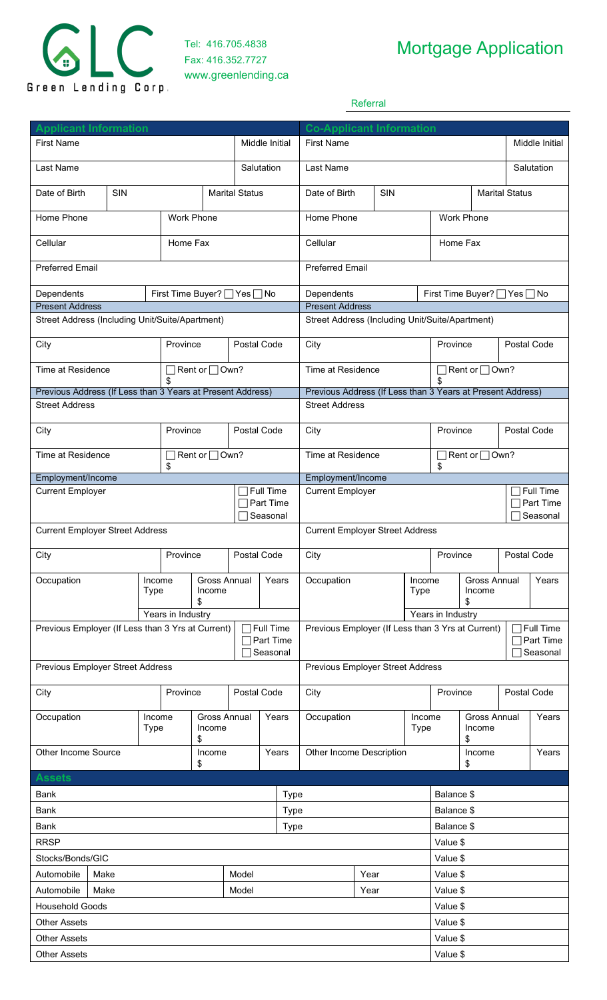

Tel: 416.705.4838 Fax: 416.352.7727 www.greenlending.ca

## Mortgage Application

Referral

| <b>Applicant Information</b><br>Middle Initial<br><b>First Name</b> |                          |  |                                         |                                     |             |                                                   | <b>Co-Applicant Information</b><br><b>First Name</b>       |                                                 |             |                     |                                  |                                      |                   | Middle Initial            |                       |  |
|---------------------------------------------------------------------|--------------------------|--|-----------------------------------------|-------------------------------------|-------------|---------------------------------------------------|------------------------------------------------------------|-------------------------------------------------|-------------|---------------------|----------------------------------|--------------------------------------|-------------------|---------------------------|-----------------------|--|
| Last Name                                                           |                          |  |                                         |                                     |             | Salutation                                        |                                                            | Last Name                                       |             |                     |                                  |                                      |                   | Salutation                |                       |  |
|                                                                     |                          |  |                                         |                                     |             |                                                   |                                                            |                                                 |             |                     |                                  |                                      |                   |                           |                       |  |
|                                                                     | SIN<br>Date of Birth     |  |                                         | <b>Marital Status</b>               |             |                                                   | SIN<br>Date of Birth                                       |                                                 |             |                     |                                  | <b>Marital Status</b>                |                   |                           |                       |  |
|                                                                     | Work Phone<br>Home Phone |  |                                         |                                     |             |                                                   |                                                            | Home Phone                                      |             |                     |                                  |                                      | <b>Work Phone</b> |                           |                       |  |
| Cellular                                                            |                          |  | Home Fax                                |                                     |             |                                                   |                                                            | Cellular                                        |             |                     |                                  | Home Fax                             |                   |                           |                       |  |
| <b>Preferred Email</b>                                              |                          |  |                                         |                                     |             | <b>Preferred Email</b>                            |                                                            |                                                 |             |                     |                                  |                                      |                   |                           |                       |  |
| Dependents<br>First Time Buyer?   Yes   No                          |                          |  |                                         |                                     |             |                                                   | Dependents<br>First Time Buyer?   Yes   No                 |                                                 |             |                     |                                  |                                      |                   |                           |                       |  |
| <b>Present Address</b>                                              |                          |  |                                         |                                     |             | <b>Present Address</b>                            |                                                            |                                                 |             |                     |                                  |                                      |                   |                           |                       |  |
| Street Address (Including Unit/Suite/Apartment)                     |                          |  |                                         |                                     |             |                                                   |                                                            | Street Address (Including Unit/Suite/Apartment) |             |                     |                                  |                                      |                   |                           |                       |  |
| City                                                                |                          |  |                                         | Province                            |             |                                                   | Postal Code                                                | City                                            |             |                     | Province                         |                                      |                   | Postal Code               |                       |  |
|                                                                     | Time at Residence        |  |                                         | $\exists$ Rent or $\Box$ Own?<br>\$ |             |                                                   |                                                            | Time at Residence                               |             |                     |                                  |                                      |                   | Rent or <sub>□</sub> Own? |                       |  |
| Previous Address (If Less than 3 Years at Present Address)          |                          |  |                                         |                                     |             |                                                   | Previous Address (If Less than 3 Years at Present Address) |                                                 |             |                     |                                  |                                      |                   |                           |                       |  |
| <b>Street Address</b>                                               |                          |  |                                         |                                     |             |                                                   |                                                            | <b>Street Address</b>                           |             |                     |                                  |                                      |                   |                           |                       |  |
| City                                                                |                          |  | Province                                | Postal Code                         |             |                                                   | City                                                       |                                                 |             |                     | Province                         |                                      |                   | Postal Code               |                       |  |
|                                                                     | Time at Residence        |  |                                         | Rent or □ Own?<br>\$                |             |                                                   |                                                            | Time at Residence                               |             |                     | $\Box$ Rent or $\Box$ Own?<br>\$ |                                      |                   |                           |                       |  |
| Employment/Income                                                   |                          |  |                                         |                                     |             |                                                   |                                                            | Employment/Income                               |             |                     |                                  |                                      |                   |                           |                       |  |
| <b>Current Employer</b>                                             |                          |  |                                         |                                     | Full Time   |                                                   | <b>Current Employer</b>                                    |                                                 |             |                     |                                  |                                      |                   | Full Time                 |                       |  |
|                                                                     |                          |  |                                         |                                     |             | Part Time<br>Seasonal                             |                                                            |                                                 |             |                     |                                  |                                      |                   |                           | Part Time<br>Seasonal |  |
| <b>Current Employer Street Address</b>                              |                          |  |                                         |                                     |             |                                                   |                                                            | <b>Current Employer Street Address</b>          |             |                     |                                  |                                      |                   |                           |                       |  |
| City                                                                |                          |  |                                         | Province<br>Postal Code             |             |                                                   |                                                            | City                                            |             |                     |                                  | Province<br>Postal Code              |                   |                           |                       |  |
| Occupation                                                          | Income<br><b>Type</b>    |  |                                         | <b>Gross Annual</b><br>Years        |             | Occupation                                        |                                                            | Income                                          |             | <b>Gross Annual</b> |                                  |                                      | Years             |                           |                       |  |
|                                                                     |                          |  | Income<br>\$                            |                                     |             |                                                   |                                                            |                                                 | <b>Type</b> |                     | Income<br>\$                     |                                      |                   |                           |                       |  |
|                                                                     |                          |  | Years in Industry                       |                                     |             |                                                   |                                                            |                                                 |             |                     | Years in Industry                |                                      |                   |                           |                       |  |
| Previous Employer (If Less than 3 Yrs at Current)                   |                          |  |                                         | $\top$ Full Time<br>Part Time       |             | Previous Employer (If Less than 3 Yrs at Current) |                                                            |                                                 |             |                     |                                  | $\Box$ Full Time<br>$\Box$ Part Time |                   |                           |                       |  |
|                                                                     |                          |  |                                         |                                     |             | Seasonal                                          |                                                            |                                                 |             |                     |                                  |                                      |                   |                           | Seasonal              |  |
| Previous Employer Street Address                                    |                          |  |                                         |                                     |             |                                                   |                                                            | Previous Employer Street Address                |             |                     |                                  |                                      |                   |                           |                       |  |
| City                                                                |                          |  | Province                                |                                     | Postal Code |                                                   |                                                            | City                                            |             |                     | Province                         |                                      | Postal Code       |                           |                       |  |
| Occupation                                                          | <b>Type</b>              |  | <b>Gross Annual</b><br>Income<br>Income |                                     | Years       |                                                   |                                                            | Occupation                                      |             |                     | Income<br><b>Type</b>            |                                      | Income            | <b>Gross Annual</b>       |                       |  |
|                                                                     | Other Income Source      |  | \$<br>Income                            |                                     | Years       |                                                   |                                                            | Other Income Description                        |             |                     |                                  |                                      | \$<br>Income      |                           | Years                 |  |
| <b>Assets</b>                                                       |                          |  |                                         | \$                                  |             |                                                   |                                                            |                                                 |             |                     |                                  |                                      | \$                |                           |                       |  |
| Bank                                                                |                          |  |                                         |                                     |             |                                                   | <b>Type</b>                                                |                                                 |             |                     |                                  | Balance \$                           |                   |                           |                       |  |
| <b>Bank</b>                                                         |                          |  |                                         |                                     |             | <b>Type</b>                                       |                                                            |                                                 |             |                     | Balance \$                       |                                      |                   |                           |                       |  |
| Bank                                                                |                          |  |                                         |                                     |             | Type                                              |                                                            |                                                 |             |                     | Balance \$                       |                                      |                   |                           |                       |  |
| <b>RRSP</b>                                                         |                          |  |                                         |                                     |             |                                                   |                                                            |                                                 |             |                     | Value \$                         |                                      |                   |                           |                       |  |
| Stocks/Bonds/GIC                                                    |                          |  |                                         |                                     |             |                                                   |                                                            |                                                 |             |                     | Value \$                         |                                      |                   |                           |                       |  |
| Automobile<br>Make                                                  |                          |  |                                         | Model                               |             |                                                   | Year                                                       |                                                 |             |                     | Value \$                         |                                      |                   |                           |                       |  |
| Automobile<br>Make                                                  |                          |  |                                         | Model                               |             |                                                   | Year                                                       |                                                 |             |                     | Value \$                         |                                      |                   |                           |                       |  |
| <b>Household Goods</b>                                              |                          |  |                                         |                                     |             |                                                   |                                                            |                                                 |             |                     |                                  | Value \$                             |                   |                           |                       |  |
| <b>Other Assets</b>                                                 |                          |  |                                         |                                     |             |                                                   |                                                            |                                                 |             |                     | Value \$                         |                                      |                   |                           |                       |  |
| <b>Other Assets</b>                                                 |                          |  |                                         |                                     |             |                                                   |                                                            |                                                 |             |                     |                                  | Value \$                             |                   |                           |                       |  |
| <b>Other Assets</b>                                                 |                          |  |                                         |                                     |             |                                                   |                                                            |                                                 |             |                     |                                  | Value \$                             |                   |                           |                       |  |